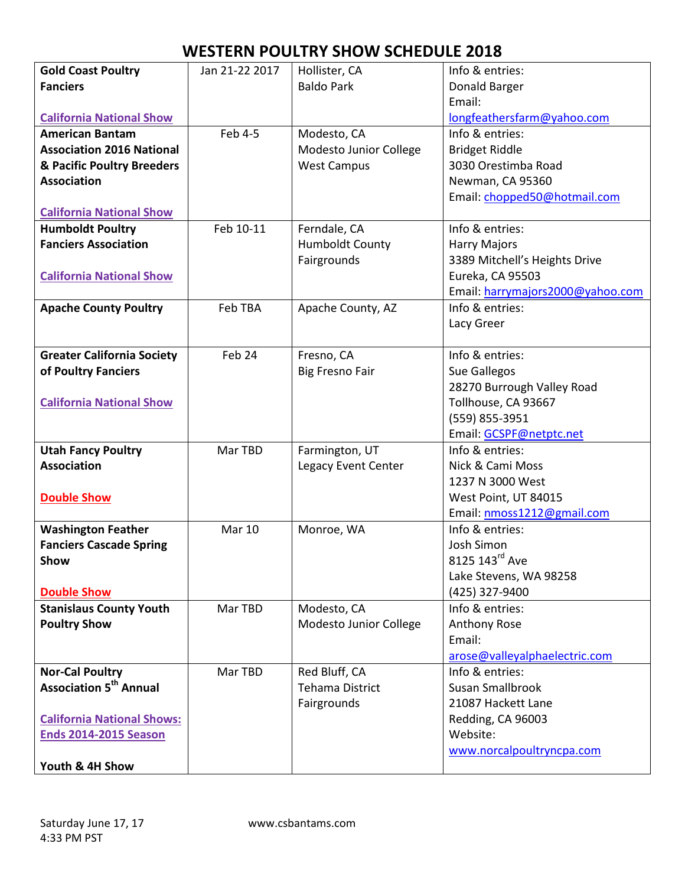| <b>Gold Coast Poultry</b>          | Jan 21-22 2017    | Hollister, CA          | Info & entries:                  |
|------------------------------------|-------------------|------------------------|----------------------------------|
| <b>Fanciers</b>                    |                   | <b>Baldo Park</b>      | Donald Barger                    |
|                                    |                   |                        | Email:                           |
| <b>California National Show</b>    |                   |                        | longfeathersfarm@yahoo.com       |
| <b>American Bantam</b>             | Feb 4-5           | Modesto, CA            | Info & entries:                  |
| <b>Association 2016 National</b>   |                   | Modesto Junior College | <b>Bridget Riddle</b>            |
| & Pacific Poultry Breeders         |                   | <b>West Campus</b>     | 3030 Orestimba Road              |
| <b>Association</b>                 |                   |                        | Newman, CA 95360                 |
|                                    |                   |                        | Email: chopped50@hotmail.com     |
| <b>California National Show</b>    |                   |                        |                                  |
| <b>Humboldt Poultry</b>            | Feb 10-11         | Ferndale, CA           | Info & entries:                  |
| <b>Fanciers Association</b>        |                   | <b>Humboldt County</b> | <b>Harry Majors</b>              |
|                                    |                   | Fairgrounds            | 3389 Mitchell's Heights Drive    |
| <b>California National Show</b>    |                   |                        | Eureka, CA 95503                 |
|                                    |                   |                        | Email: harrymajors2000@yahoo.com |
| <b>Apache County Poultry</b>       | Feb TBA           | Apache County, AZ      | Info & entries:                  |
|                                    |                   |                        | Lacy Greer                       |
|                                    |                   |                        |                                  |
| <b>Greater California Society</b>  | Feb <sub>24</sub> | Fresno, CA             | Info & entries:                  |
| of Poultry Fanciers                |                   | <b>Big Fresno Fair</b> | Sue Gallegos                     |
|                                    |                   |                        | 28270 Burrough Valley Road       |
| <b>California National Show</b>    |                   |                        | Tollhouse, CA 93667              |
|                                    |                   |                        | (559) 855-3951                   |
|                                    |                   |                        | Email: GCSPF@netptc.net          |
| <b>Utah Fancy Poultry</b>          | Mar TBD           | Farmington, UT         | Info & entries:                  |
| <b>Association</b>                 |                   | Legacy Event Center    | Nick & Cami Moss                 |
|                                    |                   |                        | 1237 N 3000 West                 |
| <b>Double Show</b>                 |                   |                        | West Point, UT 84015             |
|                                    |                   |                        | Email: nmoss1212@gmail.com       |
| <b>Washington Feather</b>          | <b>Mar 10</b>     | Monroe, WA             | Info & entries:                  |
| <b>Fanciers Cascade Spring</b>     |                   |                        | Josh Simon                       |
| Show                               |                   |                        | 8125 143rd Ave                   |
|                                    |                   |                        | Lake Stevens, WA 98258           |
| <b>Double Show</b>                 |                   |                        | (425) 327-9400                   |
| <b>Stanislaus County Youth</b>     | Mar TBD           | Modesto, CA            | Info & entries:                  |
| <b>Poultry Show</b>                |                   | Modesto Junior College | Anthony Rose                     |
|                                    |                   |                        | Email:                           |
|                                    |                   |                        | arose@valleyalphaelectric.com    |
| <b>Nor-Cal Poultry</b>             | Mar TBD           | Red Bluff, CA          | Info & entries:                  |
| Association 5 <sup>th</sup> Annual |                   | <b>Tehama District</b> | <b>Susan Smallbrook</b>          |
|                                    |                   | Fairgrounds            | 21087 Hackett Lane               |
| <b>California National Shows:</b>  |                   |                        | Redding, CA 96003                |
| <b>Ends 2014-2015 Season</b>       |                   |                        | Website:                         |
|                                    |                   |                        | www.norcalpoultryncpa.com        |
| Youth & 4H Show                    |                   |                        |                                  |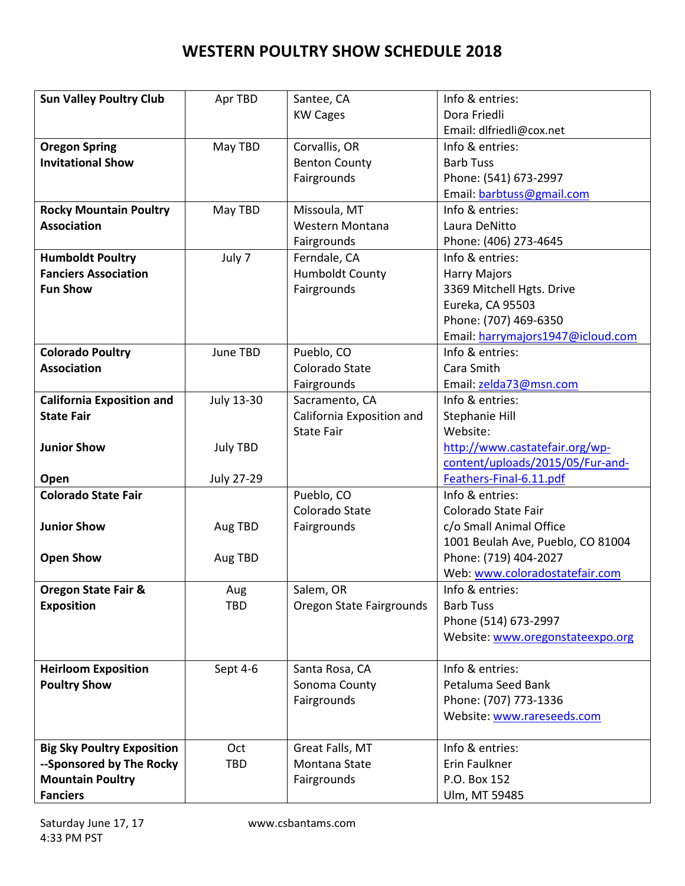| <b>Sun Valley Poultry Club</b>    | Apr TBD           | Santee, CA                | Info & entries:                   |
|-----------------------------------|-------------------|---------------------------|-----------------------------------|
|                                   |                   | <b>KW Cages</b>           | Dora Friedli                      |
|                                   |                   |                           | Email: dlfriedli@cox.net          |
| <b>Oregon Spring</b>              | May TBD           | Corvallis, OR             | Info & entries:                   |
| <b>Invitational Show</b>          |                   | <b>Benton County</b>      | <b>Barb Tuss</b>                  |
|                                   |                   | Fairgrounds               | Phone: (541) 673-2997             |
|                                   |                   |                           | Email: barbtuss@gmail.com         |
| <b>Rocky Mountain Poultry</b>     | May TBD           | Missoula, MT              | Info & entries:                   |
| <b>Association</b>                |                   | Western Montana           | Laura DeNitto                     |
|                                   |                   | Fairgrounds               | Phone: (406) 273-4645             |
| <b>Humboldt Poultry</b>           | July 7            | Ferndale, CA              | Info & entries:                   |
| <b>Fanciers Association</b>       |                   | <b>Humboldt County</b>    | <b>Harry Majors</b>               |
| <b>Fun Show</b>                   |                   | Fairgrounds               | 3369 Mitchell Hgts. Drive         |
|                                   |                   |                           | Eureka, CA 95503                  |
|                                   |                   |                           | Phone: (707) 469-6350             |
|                                   |                   |                           |                                   |
|                                   |                   |                           | Email: harrymajors1947@icloud.com |
| <b>Colorado Poultry</b>           | June TBD          | Pueblo, CO                | Info & entries:                   |
| <b>Association</b>                |                   | Colorado State            | Cara Smith                        |
|                                   |                   | Fairgrounds               | Email: zelda73@msn.com            |
| <b>California Exposition and</b>  | July 13-30        | Sacramento, CA            | Info & entries:                   |
| <b>State Fair</b>                 |                   | California Exposition and | Stephanie Hill                    |
|                                   |                   | <b>State Fair</b>         | Website:                          |
| <b>Junior Show</b>                | <b>July TBD</b>   |                           | http://www.castatefair.org/wp-    |
|                                   |                   |                           | content/uploads/2015/05/Fur-and-  |
| Open                              | <b>July 27-29</b> |                           | Feathers-Final-6.11.pdf           |
| <b>Colorado State Fair</b>        |                   | Pueblo, CO                | Info & entries:                   |
|                                   |                   | Colorado State            | Colorado State Fair               |
| <b>Junior Show</b>                | Aug TBD           | Fairgrounds               | c/o Small Animal Office           |
|                                   |                   |                           | 1001 Beulah Ave, Pueblo, CO 81004 |
| <b>Open Show</b>                  | Aug TBD           |                           | Phone: (719) 404-2027             |
|                                   |                   |                           | Web: www.coloradostatefair.com    |
| <b>Oregon State Fair &amp;</b>    | Aug               | Salem, OR                 | Info & entries:                   |
| <b>Exposition</b>                 | <b>TBD</b>        | Oregon State Fairgrounds  | <b>Barb Tuss</b>                  |
|                                   |                   |                           | Phone (514) 673-2997              |
|                                   |                   |                           | Website: www.oregonstateexpo.org  |
|                                   |                   |                           |                                   |
| <b>Heirloom Exposition</b>        | Sept 4-6          | Santa Rosa, CA            | Info & entries:                   |
| <b>Poultry Show</b>               |                   | Sonoma County             | Petaluma Seed Bank                |
|                                   |                   | Fairgrounds               | Phone: (707) 773-1336             |
|                                   |                   |                           | Website: www.rareseeds.com        |
|                                   |                   |                           |                                   |
| <b>Big Sky Poultry Exposition</b> | Oct               | Great Falls, MT           | Info & entries:                   |
| --Sponsored by The Rocky          | <b>TBD</b>        | Montana State             | Erin Faulkner                     |
| <b>Mountain Poultry</b>           |                   | Fairgrounds               | P.O. Box 152                      |
| <b>Fanciers</b>                   |                   |                           | Ulm, MT 59485                     |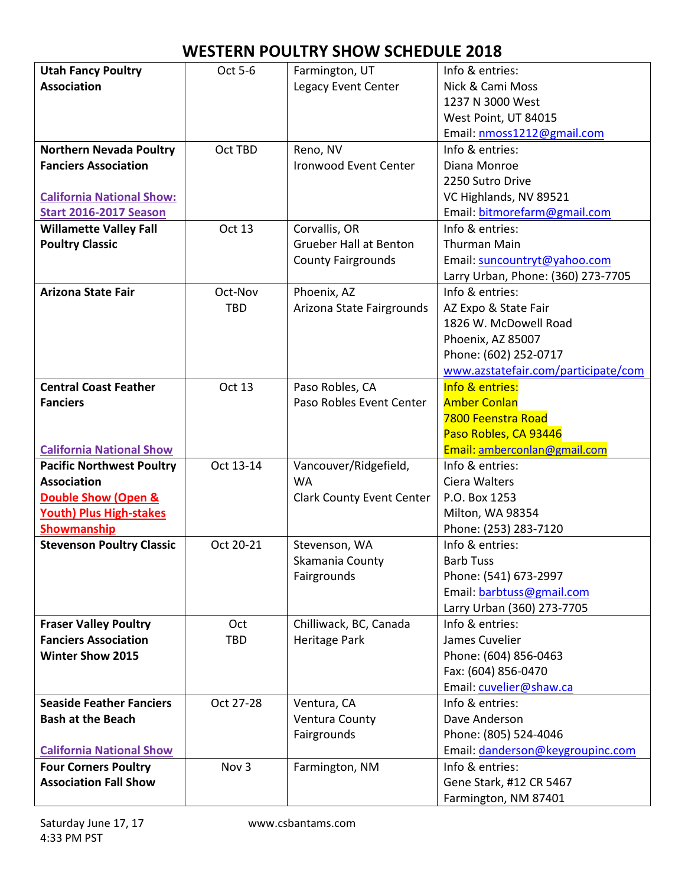| <b>Utah Fancy Poultry</b>        | Oct 5-6    | Farmington, UT                   | Info & entries:                     |
|----------------------------------|------------|----------------------------------|-------------------------------------|
| <b>Association</b>               |            | Legacy Event Center              | Nick & Cami Moss                    |
|                                  |            |                                  | 1237 N 3000 West                    |
|                                  |            |                                  | West Point, UT 84015                |
|                                  |            |                                  | Email: nmoss1212@gmail.com          |
| <b>Northern Nevada Poultry</b>   | Oct TBD    | Reno, NV                         | Info & entries:                     |
| <b>Fanciers Association</b>      |            | <b>Ironwood Event Center</b>     | Diana Monroe                        |
|                                  |            |                                  | 2250 Sutro Drive                    |
| <b>California National Show:</b> |            |                                  | VC Highlands, NV 89521              |
| <b>Start 2016-2017 Season</b>    |            |                                  | Email: bitmorefarm@gmail.com        |
| <b>Willamette Valley Fall</b>    | Oct 13     | Corvallis, OR                    | Info & entries:                     |
| <b>Poultry Classic</b>           |            | <b>Grueber Hall at Benton</b>    | <b>Thurman Main</b>                 |
|                                  |            | <b>County Fairgrounds</b>        | Email: suncountryt@yahoo.com        |
|                                  |            |                                  | Larry Urban, Phone: (360) 273-7705  |
| <b>Arizona State Fair</b>        | Oct-Nov    | Phoenix, AZ                      | Info & entries:                     |
|                                  | <b>TBD</b> | Arizona State Fairgrounds        | AZ Expo & State Fair                |
|                                  |            |                                  | 1826 W. McDowell Road               |
|                                  |            |                                  | Phoenix, AZ 85007                   |
|                                  |            |                                  | Phone: (602) 252-0717               |
|                                  |            |                                  | www.azstatefair.com/participate/com |
| <b>Central Coast Feather</b>     | Oct 13     | Paso Robles, CA                  | Info & entries:                     |
| <b>Fanciers</b>                  |            | Paso Robles Event Center         | <b>Amber Conlan</b>                 |
|                                  |            |                                  | 7800 Feenstra Road                  |
|                                  |            |                                  | Paso Robles, CA 93446               |
| <b>California National Show</b>  |            |                                  | Email: amberconlan@gmail.com        |
| <b>Pacific Northwest Poultry</b> | Oct 13-14  | Vancouver/Ridgefield,            | Info & entries:                     |
| <b>Association</b>               |            | <b>WA</b>                        | Ciera Walters                       |
| <b>Double Show (Open &amp;</b>   |            | <b>Clark County Event Center</b> | P.O. Box 1253                       |
| <b>Youth) Plus High-stakes</b>   |            |                                  | Milton, WA 98354                    |
| Showmanship                      |            |                                  | Phone: (253) 283-7120               |
| <b>Stevenson Poultry Classic</b> | Oct 20-21  | Stevenson, WA                    | Info & entries:                     |
|                                  |            | Skamania County                  | <b>Barb Tuss</b>                    |
|                                  |            | Fairgrounds                      | Phone: (541) 673-2997               |
|                                  |            |                                  | Email: barbtuss@gmail.com           |
|                                  |            |                                  | Larry Urban (360) 273-7705          |
| <b>Fraser Valley Poultry</b>     | Oct        | Chilliwack, BC, Canada           | Info & entries:                     |
| <b>Fanciers Association</b>      | <b>TBD</b> | <b>Heritage Park</b>             | James Cuvelier                      |
| <b>Winter Show 2015</b>          |            |                                  | Phone: (604) 856-0463               |
|                                  |            |                                  | Fax: (604) 856-0470                 |
|                                  |            |                                  | Email: cuvelier@shaw.ca             |
| <b>Seaside Feather Fanciers</b>  | Oct 27-28  | Ventura, CA                      | Info & entries:                     |
| <b>Bash at the Beach</b>         |            | Ventura County                   | Dave Anderson                       |
|                                  |            | Fairgrounds                      | Phone: (805) 524-4046               |
| <b>California National Show</b>  |            |                                  | Email: danderson@keygroupinc.com    |
| <b>Four Corners Poultry</b>      | Nov 3      | Farmington, NM                   | Info & entries:                     |
| <b>Association Fall Show</b>     |            |                                  | Gene Stark, #12 CR 5467             |
|                                  |            |                                  | Farmington, NM 87401                |